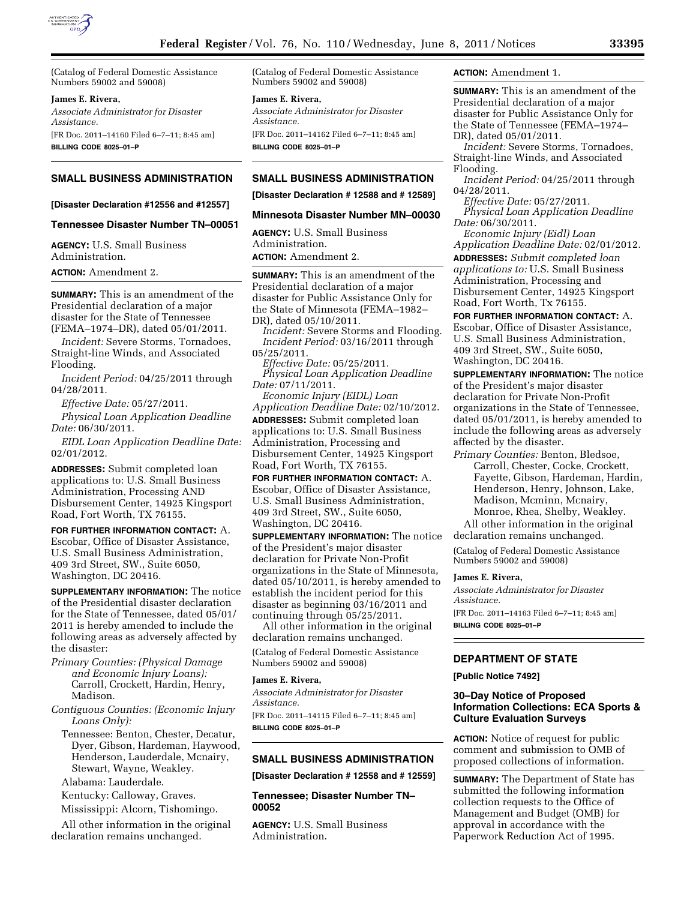

(Catalog of Federal Domestic Assistance Numbers 59002 and 59008)

# **James E. Rivera,**

*Associate Administrator for Disaster Assistance.*  [FR Doc. 2011–14160 Filed 6–7–11; 8:45 am] **BILLING CODE 8025–01–P** 

**SMALL BUSINESS ADMINISTRATION** 

#### **[Disaster Declaration #12556 and #12557]**

## **Tennessee Disaster Number TN–00051**

**AGENCY:** U.S. Small Business Administration.

**ACTION:** Amendment 2.

**SUMMARY:** This is an amendment of the Presidential declaration of a major disaster for the State of Tennessee (FEMA–1974–DR), dated 05/01/2011.

*Incident:* Severe Storms, Tornadoes, Straight-line Winds, and Associated Flooding.

*Incident Period:* 04/25/2011 through 04/28/2011.

*Effective Date:* 05/27/2011.

*Physical Loan Application Deadline Date:* 06/30/2011.

*EIDL Loan Application Deadline Date:*  02/01/2012.

**ADDRESSES:** Submit completed loan applications to: U.S. Small Business Administration, Processing AND Disbursement Center, 14925 Kingsport Road, Fort Worth, TX 76155.

**FOR FURTHER INFORMATION CONTACT:** A. Escobar, Office of Disaster Assistance, U.S. Small Business Administration, 409 3rd Street, SW., Suite 6050, Washington, DC 20416.

**SUPPLEMENTARY INFORMATION:** The notice of the Presidential disaster declaration for the State of Tennessee, dated 05/01/ 2011 is hereby amended to include the following areas as adversely affected by the disaster:

- *Primary Counties: (Physical Damage and Economic Injury Loans):*  Carroll, Crockett, Hardin, Henry, Madison.
- *Contiguous Counties: (Economic Injury Loans Only):* 
	- Tennessee: Benton, Chester, Decatur, Dyer, Gibson, Hardeman, Haywood, Henderson, Lauderdale, Mcnairy, Stewart, Wayne, Weakley.

Alabama: Lauderdale.

Kentucky: Calloway, Graves. Mississippi: Alcorn, Tishomingo.

All other information in the original declaration remains unchanged.

(Catalog of Federal Domestic Assistance Numbers 59002 and 59008)

# **James E. Rivera,**

*Associate Administrator for Disaster Assistance.* 

[FR Doc. 2011–14162 Filed 6–7–11; 8:45 am] **BILLING CODE 8025–01–P** 

# **SMALL BUSINESS ADMINISTRATION**

# **[Disaster Declaration # 12588 and # 12589]**

#### **Minnesota Disaster Number MN–00030**

**AGENCY:** U.S. Small Business Administration. **ACTION:** Amendment 2.

**SUMMARY:** This is an amendment of the Presidential declaration of a major disaster for Public Assistance Only for the State of Minnesota (FEMA–1982– DR), dated 05/10/2011.

*Incident:* Severe Storms and Flooding. *Incident Period:* 03/16/2011 through 05/25/2011.

*Effective Date:* 05/25/2011. *Physical Loan Application Deadline Date:* 07/11/2011.

*Economic Injury (EIDL) Loan Application Deadline Date:* 02/10/2012. **ADDRESSES:** Submit completed loan applications to: U.S. Small Business Administration, Processing and Disbursement Center, 14925 Kingsport Road, Fort Worth, TX 76155.

**FOR FURTHER INFORMATION CONTACT:** A. Escobar, Office of Disaster Assistance, U.S. Small Business Administration, 409 3rd Street, SW., Suite 6050, Washington, DC 20416.

**SUPPLEMENTARY INFORMATION:** The notice of the President's major disaster declaration for Private Non-Profit organizations in the State of Minnesota, dated 05/10/2011, is hereby amended to establish the incident period for this disaster as beginning 03/16/2011 and continuing through 05/25/2011.

All other information in the original declaration remains unchanged.

(Catalog of Federal Domestic Assistance Numbers 59002 and 59008)

## **James E. Rivera,**

*Associate Administrator for Disaster Assistance.* 

[FR Doc. 2011–14115 Filed 6–7–11; 8:45 am] **BILLING CODE 8025–01–P** 

# **SMALL BUSINESS ADMINISTRATION**

**[Disaster Declaration # 12558 and # 12559]** 

**Tennessee; Disaster Number TN– 00052** 

**AGENCY:** U.S. Small Business Administration.

## **ACTION:** Amendment 1.

**SUMMARY:** This is an amendment of the Presidential declaration of a major disaster for Public Assistance Only for the State of Tennessee (FEMA–1974– DR), dated 05/01/2011.

*Incident:* Severe Storms, Tornadoes, Straight-line Winds, and Associated Flooding.

*Incident Period:* 04/25/2011 through 04/28/2011.

*Effective Date:* 05/27/2011.

*Physical Loan Application Deadline Date:* 06/30/2011.

*Economic Injury (Eidl) Loan Application Deadline Date:* 02/01/2012. **ADDRESSES:** *Submit completed loan* 

*applications to:* U.S. Small Business Administration, Processing and Disbursement Center, 14925 Kingsport Road, Fort Worth, Tx 76155.

**FOR FURTHER INFORMATION CONTACT:** A. Escobar, Office of Disaster Assistance, U.S. Small Business Administration, 409 3rd Street, SW., Suite 6050, Washington, DC 20416.

**SUPPLEMENTARY INFORMATION:** The notice of the President's major disaster declaration for Private Non-Profit organizations in the State of Tennessee, dated 05/01/2011, is hereby amended to include the following areas as adversely affected by the disaster.

*Primary Counties:* Benton, Bledsoe, Carroll, Chester, Cocke, Crockett, Fayette, Gibson, Hardeman, Hardin, Henderson, Henry, Johnson, Lake, Madison, Mcminn, Mcnairy, Monroe, Rhea, Shelby, Weakley. All other information in the original

declaration remains unchanged.

(Catalog of Federal Domestic Assistance Numbers 59002 and 59008)

#### **James E. Rivera,**

*Associate Administrator for Disaster Assistance.*  [FR Doc. 2011–14163 Filed 6–7–11; 8:45 am]

**BILLING CODE 8025–01–P** 

# **DEPARTMENT OF STATE**

**[Public Notice 7492]** 

# **30–Day Notice of Proposed Information Collections: ECA Sports & Culture Evaluation Surveys**

**ACTION:** Notice of request for public comment and submission to OMB of proposed collections of information.

**SUMMARY:** The Department of State has submitted the following information collection requests to the Office of Management and Budget (OMB) for approval in accordance with the Paperwork Reduction Act of 1995.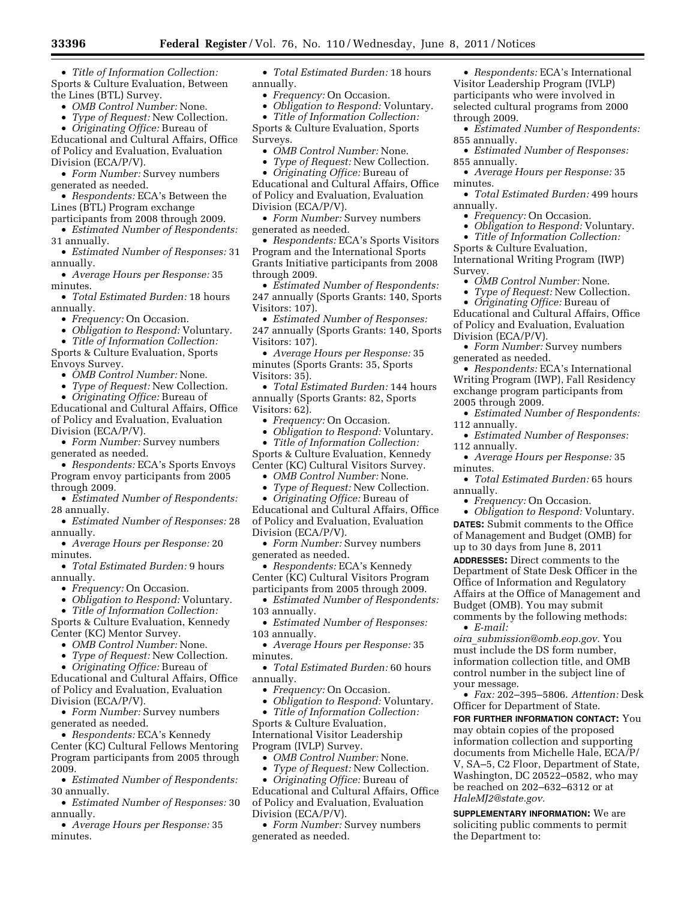• *Title of Information Collection:*  Sports & Culture Evaluation, Between the Lines (BTL) Survey.

- *OMB Control Number:* None.
- *Type of Request:* New Collection.

• *Originating Office:* Bureau of Educational and Cultural Affairs, Office of Policy and Evaluation, Evaluation Division (ECA/P/V).

• *Form Number:* Survey numbers generated as needed.

• *Respondents:* ECA's Between the Lines (BTL) Program exchange

participants from 2008 through 2009.

• *Estimated Number of Respondents:*  31 annually.

• *Estimated Number of Responses:* 31 annually.

• *Average Hours per Response:* 35 minutes.

• *Total Estimated Burden:* 18 hours annually.

• *Frequency:* On Occasion.

• *Obligation to Respond:* Voluntary. • *Title of Information Collection:* 

Sports & Culture Evaluation, Sports Envoys Survey.

• *OMB Control Number:* None.

• *Type of Request:* New Collection.

• *Originating Office:* Bureau of Educational and Cultural Affairs, Office of Policy and Evaluation, Evaluation Division (ECA/P/V).

• *Form Number:* Survey numbers generated as needed.

• *Respondents:* ECA's Sports Envoys Program envoy participants from 2005 through 2009.

• *Estimated Number of Respondents:*  28 annually.

• *Estimated Number of Responses:* 28 annually.

• *Average Hours per Response:* 20 minutes.

• *Total Estimated Burden:* 9 hours annually.

• *Frequency:* On Occasion.

• *Obligation to Respond:* Voluntary.

• *Title of Information Collection:*  Sports & Culture Evaluation, Kennedy Center (KC) Mentor Survey.

• *OMB Control Number:* None.

• *Type of Request:* New Collection.

• *Originating Office:* Bureau of

Educational and Cultural Affairs, Office of Policy and Evaluation, Evaluation Division (ECA/P/V).

• *Form Number:* Survey numbers generated as needed.

• *Respondents:* ECA's Kennedy Center (KC) Cultural Fellows Mentoring Program participants from 2005 through 2009.

• *Estimated Number of Respondents:*  30 annually.

• *Estimated Number of Responses:* 30 annually.

• *Average Hours per Response:* 35 minutes.

• *Total Estimated Burden:* 18 hours annually.

• *Frequency:* On Occasion.

• *Obligation to Respond:* Voluntary.

• *Title of Information Collection:*  Sports & Culture Evaluation, Sports Surveys.

• *OMB Control Number:* None.

• *Type of Request:* New Collection.

• *Originating Office:* Bureau of Educational and Cultural Affairs, Office of Policy and Evaluation, Evaluation Division (ECA/P/V).

• *Form Number:* Survey numbers generated as needed.

• *Respondents:* ECA's Sports Visitors Program and the International Sports Grants Initiative participants from 2008 through 2009.

• *Estimated Number of Respondents:*  247 annually (Sports Grants: 140, Sports Visitors: 107).

• *Estimated Number of Responses:*  247 annually (Sports Grants: 140, Sports Visitors: 107).

• *Average Hours per Response:* 35 minutes (Sports Grants: 35, Sports Visitors: 35).

• *Total Estimated Burden:* 144 hours annually (Sports Grants: 82, Sports Visitors: 62).

• *Frequency:* On Occasion.

• *Obligation to Respond:* Voluntary.

• *Title of Information Collection:* 

Sports & Culture Evaluation, Kennedy Center (KC) Cultural Visitors Survey.

• *OMB Control Number:* None.

• *Type of Request:* New Collection.

• *Originating Office:* Bureau of Educational and Cultural Affairs, Office of Policy and Evaluation, Evaluation Division (ECA/P/V).

• *Form Number:* Survey numbers generated as needed.

• *Respondents:* ECA's Kennedy Center (KC) Cultural Visitors Program participants from 2005 through 2009.

• *Estimated Number of Respondents:*  103 annually.

• *Estimated Number of Responses:*  103 annually.

• *Average Hours per Response:* 35 minutes.

• *Total Estimated Burden:* 60 hours annually.

• *Frequency:* On Occasion.

• *Obligation to Respond:* Voluntary.

• *Title of Information Collection:*  Sports & Culture Evaluation, International Visitor Leadership Program (IVLP) Survey.

• *OMB Control Number:* None.

• *Type of Request:* New Collection.

• *Originating Office:* Bureau of

Educational and Cultural Affairs, Office of Policy and Evaluation, Evaluation Division (ECA/P/V).

• *Form Number:* Survey numbers generated as needed.

• *Respondents:* ECA's International Visitor Leadership Program (IVLP) participants who were involved in selected cultural programs from 2000 through 2009.

• *Estimated Number of Respondents:*  855 annually.

• *Estimated Number of Responses:*  855 annually.

• *Average Hours per Response:* 35 minutes.

• *Total Estimated Burden:* 499 hours annually.

• *Frequency:* On Occasion.

• *Obligation to Respond:* Voluntary.

• *Title of Information Collection:*  Sports & Culture Evaluation,

International Writing Program (IWP) Survey.

• *OMB Control Number:* None.

• *Type of Request:* New Collection.

• *Originating Office:* Bureau of Educational and Cultural Affairs, Office of Policy and Evaluation, Evaluation Division (ECA/P/V).

• *Form Number:* Survey numbers generated as needed.

• *Respondents:* ECA's International Writing Program (IWP), Fall Residency exchange program participants from 2005 through 2009.

• *Estimated Number of Respondents:*  112 annually.

• *Estimated Number of Responses:*  112 annually.

• *Average Hours per Response:* 35 minutes.

• *Total Estimated Burden:* 65 hours annually.

• *Frequency:* On Occasion.

• *Obligation to Respond:* Voluntary. **DATES:** Submit comments to the Office of Management and Budget (OMB) for up to 30 days from June 8, 2011 **ADDRESSES:** Direct comments to the

Department of State Desk Officer in the Office of Information and Regulatory Affairs at the Office of Management and Budget (OMB). You may submit comments by the following methods: • *E-mail:* 

*oira*\_*[submission@omb.eop.gov.](mailto:oira_submission@omb.eop.gov)* You must include the DS form number, information collection title, and OMB control number in the subject line of your message.

• *Fax:* 202–395–5806. *Attention:* Desk Officer for Department of State.

**FOR FURTHER INFORMATION CONTACT:** You may obtain copies of the proposed information collection and supporting documents from Michelle Hale, ECA/P/ V, SA–5, C2 Floor, Department of State, Washington, DC 20522–0582, who may be reached on 202–632–6312 or at *[HaleMJ2@state.gov.](mailto:HaleMJ2@state.gov)* 

**SUPPLEMENTARY INFORMATION:** We are soliciting public comments to permit the Department to: